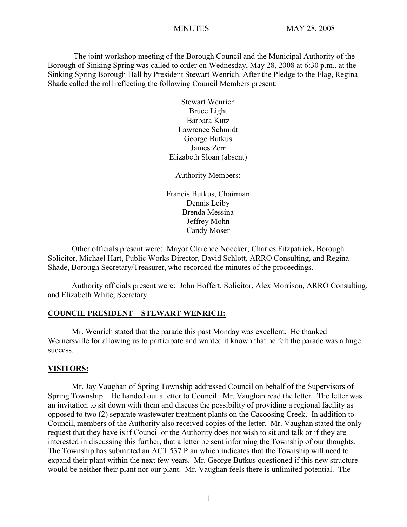The joint workshop meeting of the Borough Council and the Municipal Authority of the Borough of Sinking Spring was called to order on Wednesday, May 28, 2008 at 6:30 p.m., at the Sinking Spring Borough Hall by President Stewart Wenrich. After the Pledge to the Flag, Regina Shade called the roll reflecting the following Council Members present:

> Stewart Wenrich Bruce Light Barbara Kutz Lawrence Schmidt George Butkus James Zerr Elizabeth Sloan (absent)

Authority Members:

Francis Butkus, Chairman Dennis Leiby Brenda Messina Jeffrey Mohn Candy Moser

Other officials present were: Mayor Clarence Noecker; Charles Fitzpatrick**,** Borough Solicitor, Michael Hart, Public Works Director, David Schlott, ARRO Consulting, and Regina Shade, Borough Secretary/Treasurer, who recorded the minutes of the proceedings.

Authority officials present were: John Hoffert, Solicitor, Alex Morrison, ARRO Consulting, and Elizabeth White, Secretary.

### **COUNCIL PRESIDENT – STEWART WENRICH:**

Mr. Wenrich stated that the parade this past Monday was excellent. He thanked Wernersville for allowing us to participate and wanted it known that he felt the parade was a huge success.

#### **VISITORS:**

Mr. Jay Vaughan of Spring Township addressed Council on behalf of the Supervisors of Spring Township. He handed out a letter to Council. Mr. Vaughan read the letter. The letter was an invitation to sit down with them and discuss the possibility of providing a regional facility as opposed to two (2) separate wastewater treatment plants on the Cacoosing Creek. In addition to Council, members of the Authority also received copies of the letter. Mr. Vaughan stated the only request that they have is if Council or the Authority does not wish to sit and talk or if they are interested in discussing this further, that a letter be sent informing the Township of our thoughts. The Township has submitted an ACT 537 Plan which indicates that the Township will need to expand their plant within the next few years. Mr. George Butkus questioned if this new structure would be neither their plant nor our plant. Mr. Vaughan feels there is unlimited potential. The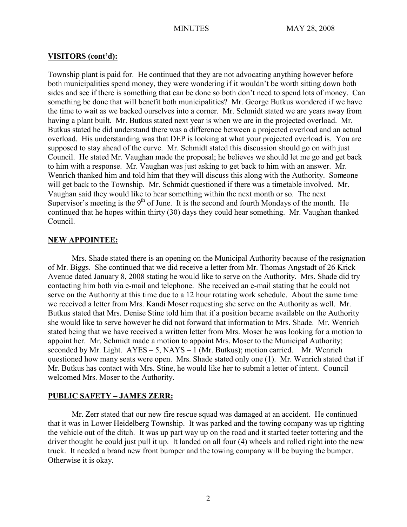## **VISITORS (cont'd):**

Township plant is paid for. He continued that they are not advocating anything however before both municipalities spend money, they were wondering if it wouldn't be worth sitting down both sides and see if there is something that can be done so both don't need to spend lots of money. Can something be done that will benefit both municipalities? Mr. George Butkus wondered if we have the time to wait as we backed ourselves into a corner. Mr. Schmidt stated we are years away from having a plant built. Mr. Butkus stated next year is when we are in the projected overload. Mr. Butkus stated he did understand there was a difference between a projected overload and an actual overload. His understanding was that DEP is looking at what your projected overload is. You are supposed to stay ahead of the curve. Mr. Schmidt stated this discussion should go on with just Council. He stated Mr. Vaughan made the proposal; he believes we should let me go and get back to him with a response. Mr. Vaughan was just asking to get back to him with an answer. Mr. Wenrich thanked him and told him that they will discuss this along with the Authority. Someone will get back to the Township. Mr. Schmidt questioned if there was a timetable involved. Mr. Vaughan said they would like to hear something within the next month or so. The next Supervisor's meeting is the  $9<sup>th</sup>$  of June. It is the second and fourth Mondays of the month. He continued that he hopes within thirty (30) days they could hear something. Mr. Vaughan thanked Council.

## **NEW APPOINTEE:**

Mrs. Shade stated there is an opening on the Municipal Authority because of the resignation of Mr. Biggs. She continued that we did receive a letter from Mr. Thomas Angstadt of 26 Krick Avenue dated January 8, 2008 stating he would like to serve on the Authority. Mrs. Shade did try contacting him both via e-mail and telephone. She received an e-mail stating that he could not serve on the Authority at this time due to a 12 hour rotating work schedule. About the same time we received a letter from Mrs. Kandi Moser requesting she serve on the Authority as well. Mr. Butkus stated that Mrs. Denise Stine told him that if a position became available on the Authority she would like to serve however he did not forward that information to Mrs. Shade. Mr. Wenrich stated being that we have received a written letter from Mrs. Moser he was looking for a motion to appoint her. Mr. Schmidt made a motion to appoint Mrs. Moser to the Municipal Authority; seconded by Mr. Light.  $AYES - 5$ ,  $NAYS - 1$  (Mr. Butkus); motion carried. Mr. Wenrich questioned how many seats were open. Mrs. Shade stated only one (1). Mr. Wenrich stated that if Mr. Butkus has contact with Mrs. Stine, he would like her to submit a letter of intent. Council welcomed Mrs. Moser to the Authority.

## **PUBLIC SAFETY – JAMES ZERR:**

Mr. Zerr stated that our new fire rescue squad was damaged at an accident. He continued that it was in Lower Heidelberg Township. It was parked and the towing company was up righting the vehicle out of the ditch. It was up part way up on the road and it started teeter tottering and the driver thought he could just pull it up. It landed on all four (4) wheels and rolled right into the new truck. It needed a brand new front bumper and the towing company will be buying the bumper. Otherwise it is okay.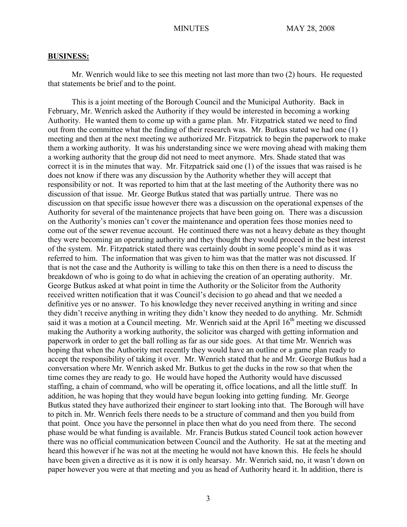#### **BUSINESS:**

Mr. Wenrich would like to see this meeting not last more than two (2) hours. He requested that statements be brief and to the point.

This is a joint meeting of the Borough Council and the Municipal Authority. Back in February, Mr. Wenrich asked the Authority if they would be interested in becoming a working Authority. He wanted them to come up with a game plan. Mr. Fitzpatrick stated we need to find out from the committee what the finding of their research was. Mr. Butkus stated we had one (1) meeting and then at the next meeting we authorized Mr. Fitzpatrick to begin the paperwork to make them a working authority. It was his understanding since we were moving ahead with making them a working authority that the group did not need to meet anymore. Mrs. Shade stated that was correct it is in the minutes that way. Mr. Fitzpatrick said one (1) of the issues that was raised is he does not know if there was any discussion by the Authority whether they will accept that responsibility or not. It was reported to him that at the last meeting of the Authority there was no discussion of that issue. Mr. George Butkus stated that was partially untrue. There was no discussion on that specific issue however there was a discussion on the operational expenses of the Authority for several of the maintenance projects that have been going on. There was a discussion on the Authority's monies can't cover the maintenance and operation fees those monies need to come out of the sewer revenue account. He continued there was not a heavy debate as they thought they were becoming an operating authority and they thought they would proceed in the best interest of the system. Mr. Fitzpatrick stated there was certainly doubt in some people's mind as it was referred to him. The information that was given to him was that the matter was not discussed. If that is not the case and the Authority is willing to take this on then there is a need to discuss the breakdown of who is going to do what in achieving the creation of an operating authority. Mr. George Butkus asked at what point in time the Authority or the Solicitor from the Authority received written notification that it was Council's decision to go ahead and that we needed a definitive yes or no answer. To his knowledge they never received anything in writing and since they didn't receive anything in writing they didn't know they needed to do anything. Mr. Schmidt said it was a motion at a Council meeting. Mr. Wenrich said at the April 16<sup>th</sup> meeting we discussed making the Authority a working authority, the solicitor was charged with getting information and paperwork in order to get the ball rolling as far as our side goes. At that time Mr. Wenrich was hoping that when the Authority met recently they would have an outline or a game plan ready to accept the responsibility of taking it over. Mr. Wenrich stated that he and Mr. George Butkus had a conversation where Mr. Wenrich asked Mr. Butkus to get the ducks in the row so that when the time comes they are ready to go. He would have hoped the Authority would have discussed staffing, a chain of command, who will be operating it, office locations, and all the little stuff. In addition, he was hoping that they would have begun looking into getting funding. Mr. George Butkus stated they have authorized their engineer to start looking into that. The Borough will have to pitch in. Mr. Wenrich feels there needs to be a structure of command and then you build from that point. Once you have the personnel in place then what do you need from there. The second phase would be what funding is available. Mr. Francis Butkus stated Council took action however there was no official communication between Council and the Authority. He sat at the meeting and heard this however if he was not at the meeting he would not have known this. He feels he should have been given a directive as it is now it is only hearsay. Mr. Wenrich said, no, it wasn't down on paper however you were at that meeting and you as head of Authority heard it. In addition, there is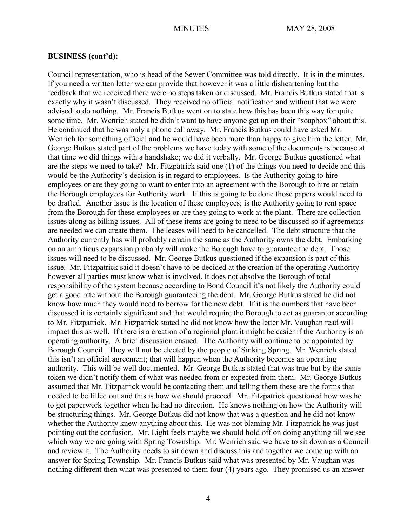Council representation, who is head of the Sewer Committee was told directly. It is in the minutes. If you need a written letter we can provide that however it was a little disheartening but the feedback that we received there were no steps taken or discussed. Mr. Francis Butkus stated that is exactly why it wasn't discussed. They received no official notification and without that we were advised to do nothing. Mr. Francis Butkus went on to state how this has been this way for quite some time. Mr. Wenrich stated he didn't want to have anyone get up on their "soapbox" about this. He continued that he was only a phone call away. Mr. Francis Butkus could have asked Mr. Wenrich for something official and he would have been more than happy to give him the letter. Mr. George Butkus stated part of the problems we have today with some of the documents is because at that time we did things with a handshake; we did it verbally. Mr. George Butkus questioned what are the steps we need to take? Mr. Fitzpatrick said one (1) of the things you need to decide and this would be the Authority's decision is in regard to employees. Is the Authority going to hire employees or are they going to want to enter into an agreement with the Borough to hire or retain the Borough employees for Authority work. If this is going to be done those papers would need to be drafted. Another issue is the location of these employees; is the Authority going to rent space from the Borough for these employees or are they going to work at the plant. There are collection issues along as billing issues. All of these items are going to need to be discussed so if agreements are needed we can create them. The leases will need to be cancelled. The debt structure that the Authority currently has will probably remain the same as the Authority owns the debt. Embarking on an ambitious expansion probably will make the Borough have to guarantee the debt. Those issues will need to be discussed. Mr. George Butkus questioned if the expansion is part of this issue. Mr. Fitzpatrick said it doesn't have to be decided at the creation of the operating Authority however all parties must know what is involved. It does not absolve the Borough of total responsibility of the system because according to Bond Council it's not likely the Authority could get a good rate without the Borough guaranteeing the debt. Mr. George Butkus stated he did not know how much they would need to borrow for the new debt. If it is the numbers that have been discussed it is certainly significant and that would require the Borough to act as guarantor according to Mr. Fitzpatrick. Mr. Fitzpatrick stated he did not know how the letter Mr. Vaughan read will impact this as well. If there is a creation of a regional plant it might be easier if the Authority is an operating authority. A brief discussion ensued. The Authority will continue to be appointed by Borough Council. They will not be elected by the people of Sinking Spring. Mr. Wenrich stated this isn't an official agreement; that will happen when the Authority becomes an operating authority. This will be well documented. Mr. George Butkus stated that was true but by the same token we didn't notify them of what was needed from or expected from them. Mr. George Butkus assumed that Mr. Fitzpatrick would be contacting them and telling them these are the forms that needed to be filled out and this is how we should proceed. Mr. Fitzpatrick questioned how was he to get paperwork together when he had no direction. He knows nothing on how the Authority will be structuring things. Mr. George Butkus did not know that was a question and he did not know whether the Authority knew anything about this. He was not blaming Mr. Fitzpatrick he was just pointing out the confusion. Mr. Light feels maybe we should hold off on doing anything till we see which way we are going with Spring Township. Mr. Wenrich said we have to sit down as a Council and review it. The Authority needs to sit down and discuss this and together we come up with an answer for Spring Township. Mr. Francis Butkus said what was presented by Mr. Vaughan was nothing different then what was presented to them four (4) years ago. They promised us an answer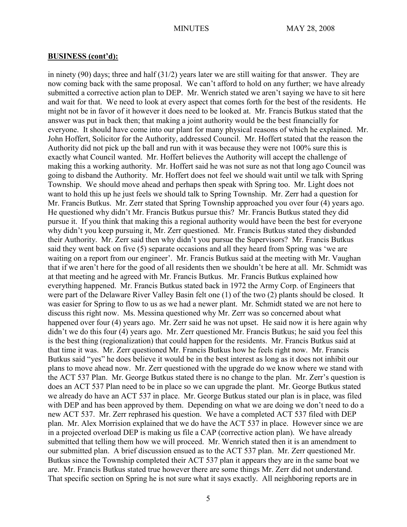in ninety (90) days; three and half (31/2) years later we are still waiting for that answer. They are now coming back with the same proposal. We can't afford to hold on any further; we have already submitted a corrective action plan to DEP. Mr. Wenrich stated we aren't saying we have to sit here and wait for that. We need to look at every aspect that comes forth for the best of the residents. He might not be in favor of it however it does need to be looked at. Mr. Francis Butkus stated that the answer was put in back then; that making a joint authority would be the best financially for everyone. It should have come into our plant for many physical reasons of which he explained. Mr. John Hoffert, Solicitor for the Authority, addressed Council. Mr. Hoffert stated that the reason the Authority did not pick up the ball and run with it was because they were not 100% sure this is exactly what Council wanted. Mr. Hoffert believes the Authority will accept the challenge of making this a working authority. Mr. Hoffert said he was not sure as not that long ago Council was going to disband the Authority. Mr. Hoffert does not feel we should wait until we talk with Spring Township. We should move ahead and perhaps then speak with Spring too. Mr. Light does not want to hold this up he just feels we should talk to Spring Township. Mr. Zerr had a question for Mr. Francis Butkus. Mr. Zerr stated that Spring Township approached you over four (4) years ago. He questioned why didn't Mr. Francis Butkus pursue this? Mr. Francis Butkus stated they did pursue it. If you think that making this a regional authority would have been the best for everyone why didn't you keep pursuing it, Mr. Zerr questioned. Mr. Francis Butkus stated they disbanded their Authority. Mr. Zerr said then why didn't you pursue the Supervisors? Mr. Francis Butkus said they went back on five (5) separate occasions and all they heard from Spring was 'we are waiting on a report from our engineer'. Mr. Francis Butkus said at the meeting with Mr. Vaughan that if we aren't here for the good of all residents then we shouldn't be here at all. Mr. Schmidt was at that meeting and he agreed with Mr. Francis Butkus. Mr. Francis Butkus explained how everything happened. Mr. Francis Butkus stated back in 1972 the Army Corp. of Engineers that were part of the Delaware River Valley Basin felt one (1) of the two (2) plants should be closed. It was easier for Spring to flow to us as we had a newer plant. Mr. Schmidt stated we are not here to discuss this right now. Ms. Messina questioned why Mr. Zerr was so concerned about what happened over four (4) years ago. Mr. Zerr said he was not upset. He said now it is here again why didn't we do this four (4) years ago. Mr. Zerr questioned Mr. Francis Butkus; he said you feel this is the best thing (regionalization) that could happen for the residents. Mr. Francis Butkus said at that time it was. Mr. Zerr questioned Mr. Francis Butkus how he feels right now. Mr. Francis Butkus said "yes" he does believe it would be in the best interest as long as it does not inhibit our plans to move ahead now. Mr. Zerr questioned with the upgrade do we know where we stand with the ACT 537 Plan. Mr. George Butkus stated there is no change to the plan. Mr. Zerr's question is does an ACT 537 Plan need to be in place so we can upgrade the plant. Mr. George Butkus stated we already do have an ACT 537 in place. Mr. George Butkus stated our plan is in place, was filed with DEP and has been approved by them. Depending on what we are doing we don't need to do a new ACT 537. Mr. Zerr rephrased his question. We have a completed ACT 537 filed with DEP plan. Mr. Alex Morrision explained that we do have the ACT 537 in place. However since we are in a projected overload DEP is making us file a CAP (corrective action plan). We have already submitted that telling them how we will proceed. Mr. Wenrich stated then it is an amendment to our submitted plan. A brief discussion ensued as to the ACT 537 plan. Mr. Zerr questioned Mr. Butkus since the Township completed their ACT 537 plan it appears they are in the same boat we are. Mr. Francis Butkus stated true however there are some things Mr. Zerr did not understand. That specific section on Spring he is not sure what it says exactly. All neighboring reports are in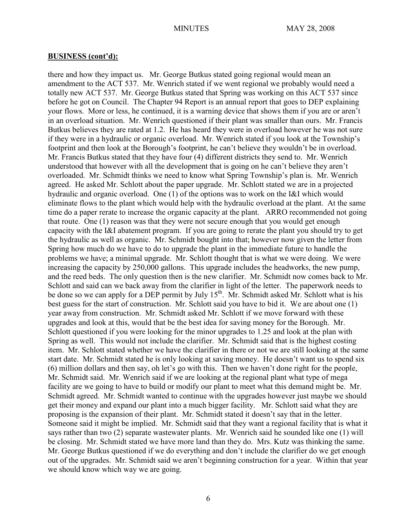there and how they impact us. Mr. George Butkus stated going regional would mean an amendment to the ACT 537. Mr. Wenrich stated if we went regional we probably would need a totally new ACT 537. Mr. George Butkus stated that Spring was working on this ACT 537 since before he got on Council. The Chapter 94 Report is an annual report that goes to DEP explaining your flows. More or less, he continued, it is a warning device that shows them if you are or aren't in an overload situation. Mr. Wenrich questioned if their plant was smaller than ours. Mr. Francis Butkus believes they are rated at 1.2. He has heard they were in overload however he was not sure if they were in a hydraulic or organic overload. Mr. Wenrich stated if you look at the Township's footprint and then look at the Borough's footprint, he can't believe they wouldn't be in overload. Mr. Francis Butkus stated that they have four (4) different districts they send to. Mr. Wenrich understood that however with all the development that is going on he can't believe they aren't overloaded. Mr. Schmidt thinks we need to know what Spring Township's plan is. Mr. Wenrich agreed. He asked Mr. Schlott about the paper upgrade. Mr. Schlott stated we are in a projected hydraulic and organic overload. One (1) of the options was to work on the I&I which would eliminate flows to the plant which would help with the hydraulic overload at the plant. At the same time do a paper rerate to increase the organic capacity at the plant. ARRO recommended not going that route. One (1) reason was that they were not secure enough that you would get enough capacity with the I&I abatement program. If you are going to rerate the plant you should try to get the hydraulic as well as organic. Mr. Schmidt bought into that; however now given the letter from Spring how much do we have to do to upgrade the plant in the immediate future to handle the problems we have; a minimal upgrade. Mr. Schlott thought that is what we were doing. We were increasing the capacity by 250,000 gallons. This upgrade includes the headworks, the new pump, and the reed beds. The only question then is the new clarifier. Mr. Schmidt now comes back to Mr. Schlott and said can we back away from the clarifier in light of the letter. The paperwork needs to be done so we can apply for a DEP permit by July  $15<sup>th</sup>$ . Mr. Schmidt asked Mr. Schlott what is his best guess for the start of construction. Mr. Schlott said you have to bid it. We are about one (1) year away from construction. Mr. Schmidt asked Mr. Schlott if we move forward with these upgrades and look at this, would that be the best idea for saving money for the Borough. Mr. Schlott questioned if you were looking for the minor upgrades to 1.25 and look at the plan with Spring as well. This would not include the clarifier. Mr. Schmidt said that is the highest costing item. Mr. Schlott stated whether we have the clarifier in there or not we are still looking at the same start date. Mr. Schmidt stated he is only looking at saving money. He doesn't want us to spend six (6) million dollars and then say, oh let's go with this. Then we haven't done right for the people, Mr. Schmidt said. Mr. Wenrich said if we are looking at the regional plant what type of mega facility are we going to have to build or modify our plant to meet what this demand might be. Mr. Schmidt agreed. Mr. Schmidt wanted to continue with the upgrades however just maybe we should get their money and expand our plant into a much bigger facility. Mr. Schlott said what they are proposing is the expansion of their plant. Mr. Schmidt stated it doesn't say that in the letter. Someone said it might be implied. Mr. Schmidt said that they want a regional facility that is what it says rather than two (2) separate wastewater plants. Mr. Wenrich said he sounded like one (1) will be closing. Mr. Schmidt stated we have more land than they do. Mrs. Kutz was thinking the same. Mr. George Butkus questioned if we do everything and don't include the clarifier do we get enough out of the upgrades. Mr. Schmidt said we aren't beginning construction for a year. Within that year we should know which way we are going.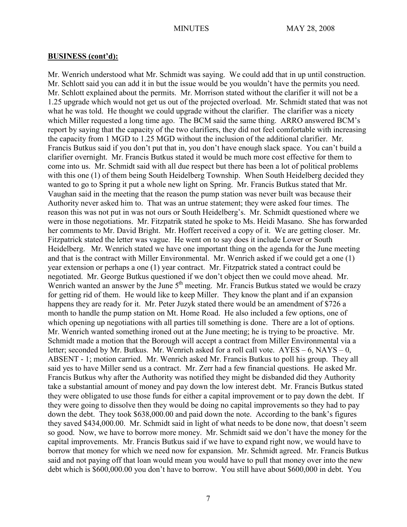Mr. Wenrich understood what Mr. Schmidt was saying. We could add that in up until construction. Mr. Schlott said you can add it in but the issue would be you wouldn't have the permits you need. Mr. Schlott explained about the permits. Mr. Morrison stated without the clarifier it will not be a 1.25 upgrade which would not get us out of the projected overload. Mr. Schmidt stated that was not what he was told. He thought we could upgrade without the clarifier. The clarifier was a nicety which Miller requested a long time ago. The BCM said the same thing. ARRO answered BCM's report by saying that the capacity of the two clarifiers, they did not feel comfortable with increasing the capacity from 1 MGD to 1.25 MGD without the inclusion of the additional clarifier. Mr. Francis Butkus said if you don't put that in, you don't have enough slack space. You can't build a clarifier overnight. Mr. Francis Butkus stated it would be much more cost effective for them to come into us. Mr. Schmidt said with all due respect but there has been a lot of political problems with this one (1) of them being South Heidelberg Township. When South Heidelberg decided they wanted to go to Spring it put a whole new light on Spring. Mr. Francis Butkus stated that Mr. Vaughan said in the meeting that the reason the pump station was never built was because their Authority never asked him to. That was an untrue statement; they were asked four times. The reason this was not put in was not ours or South Heidelberg's. Mr. Schmidt questioned where we were in those negotiations. Mr. Fitzpatrik stated he spoke to Ms. Heidi Masano. She has forwarded her comments to Mr. David Bright. Mr. Hoffert received a copy of it. We are getting closer. Mr. Fitzpatrick stated the letter was vague. He went on to say does it include Lower or South Heidelberg. Mr. Wenrich stated we have one important thing on the agenda for the June meeting and that is the contract with Miller Environmental. Mr. Wenrich asked if we could get a one (1) year extension or perhaps a one (1) year contract. Mr. Fitzpatrick stated a contract could be negotiated. Mr. George Butkus questioned if we don't object then we could move ahead. Mr. Wenrich wanted an answer by the June  $5<sup>th</sup>$  meeting. Mr. Francis Butkus stated we would be crazy for getting rid of them. He would like to keep Miller. They know the plant and if an expansion happens they are ready for it. Mr. Peter Juzyk stated there would be an amendment of \$726 a month to handle the pump station on Mt. Home Road. He also included a few options, one of which opening up negotiations with all parties till something is done. There are a lot of options. Mr. Wenrich wanted something ironed out at the June meeting; he is trying to be proactive. Mr. Schmidt made a motion that the Borough will accept a contract from Miller Environmental via a letter; seconded by Mr. Butkus. Mr. Wenrich asked for a roll call vote.  $AYES - 6$ ,  $NAYS - 0$ , ABSENT - 1; motion carried. Mr. Wenrich asked Mr. Francis Butkus to poll his group. They all said yes to have Miller send us a contract. Mr. Zerr had a few financial questions. He asked Mr. Francis Butkus why after the Authority was notified they might be disbanded did they Authority take a substantial amount of money and pay down the low interest debt. Mr. Francis Butkus stated they were obligated to use those funds for either a capital improvement or to pay down the debt. If they were going to dissolve then they would be doing no capital improvements so they had to pay down the debt. They took \$638,000.00 and paid down the note. According to the bank's figures they saved \$434,000.00. Mr. Schmidt said in light of what needs to be done now, that doesn't seem so good. Now, we have to borrow more money. Mr. Schmidt said we don't have the money for the capital improvements. Mr. Francis Butkus said if we have to expand right now, we would have to borrow that money for which we need now for expansion. Mr. Schmidt agreed. Mr. Francis Butkus said and not paying off that loan would mean you would have to pull that money over into the new debt which is \$600,000.00 you don't have to borrow. You still have about \$600,000 in debt. You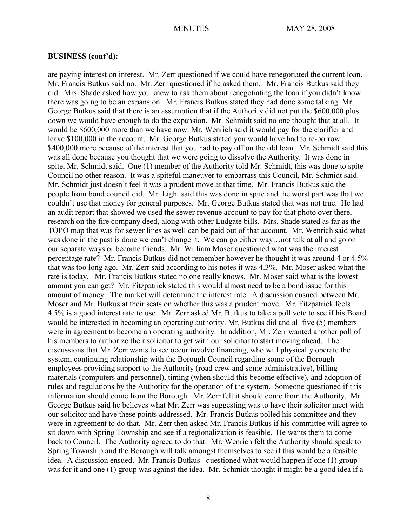are paying interest on interest. Mr. Zerr questioned if we could have renegotiated the current loan. Mr. Francis Butkus said no. Mr. Zerr questioned if he asked them. Mr. Francis Butkus said they did. Mrs. Shade asked how you knew to ask them about renegotiating the loan if you didn't know there was going to be an expansion. Mr. Francis Butkus stated they had done some talking. Mr. George Butkus said that there is an assumption that if the Authority did not put the \$600,000 plus down we would have enough to do the expansion. Mr. Schmidt said no one thought that at all. It would be \$600,000 more than we have now. Mr. Wenrich said it would pay for the clarifier and leave \$100,000 in the account. Mr. George Butkus stated you would have had to re-borrow \$400,000 more because of the interest that you had to pay off on the old loan. Mr. Schmidt said this was all done because you thought that we were going to dissolve the Authority. It was done in spite, Mr. Schmidt said. One (1) member of the Authority told Mr. Schmidt, this was done to spite Council no other reason. It was a spiteful maneuver to embarrass this Council, Mr. Schmidt said. Mr. Schmidt just doesn't feel it was a prudent move at that time. Mr. Francis Butkus said the people from bond council did. Mr. Light said this was done in spite and the worst part was that we couldn't use that money for general purposes. Mr. George Butkus stated that was not true. He had an audit report that showed we used the sewer revenue account to pay for that photo over there, research on the fire company deed, along with other Ludgate bills. Mrs. Shade stated as far as the TOPO map that was for sewer lines as well can be paid out of that account. Mr. Wenrich said what was done in the past is done we can't change it. We can go either way…not talk at all and go on our separate ways or become friends. Mr. William Moser questioned what was the interest percentage rate? Mr. Francis Butkus did not remember however he thought it was around 4 or 4.5% that was too long ago. Mr. Zerr said according to his notes it was 4.3%. Mr. Moser asked what the rate is today. Mr. Francis Butkus stated no one really knows. Mr. Moser said what is the lowest amount you can get? Mr. Fitzpatrick stated this would almost need to be a bond issue for this amount of money. The market will determine the interest rate. A discussion ensued between Mr. Moser and Mr. Butkus at their seats on whether this was a prudent move. Mr. Fitzpatrick feels 4.5% is a good interest rate to use. Mr. Zerr asked Mr. Butkus to take a poll vote to see if his Board would be interested in becoming an operating authority. Mr. Butkus did and all five (5) members were in agreement to become an operating authority. In addition, Mr. Zerr wanted another poll of his members to authorize their solicitor to get with our solicitor to start moving ahead. The discussions that Mr. Zerr wants to see occur involve financing, who will physically operate the system, continuing relationship with the Borough Council regarding some of the Borough employees providing support to the Authority (road crew and some administrative), billing materials (computers and personnel), timing (when should this become effective), and adoption of rules and regulations by the Authority for the operation of the system. Someone questioned if this information should come from the Borough. Mr. Zerr felt it should come from the Authority. Mr. George Butkus said he believes what Mr. Zerr was suggesting was to have their solicitor meet with our solicitor and have these points addressed. Mr. Francis Butkus polled his committee and they were in agreement to do that. Mr. Zerr then asked Mr. Francis Butkus if his committee will agree to sit down with Spring Township and see if a regionalization is feasible. He wants them to come back to Council. The Authority agreed to do that. Mr. Wenrich felt the Authority should speak to Spring Township and the Borough will talk amongst themselves to see if this would be a feasible idea. A discussion ensued. Mr. Francis Butkus questioned what would happen if one (1) group was for it and one (1) group was against the idea. Mr. Schmidt thought it might be a good idea if a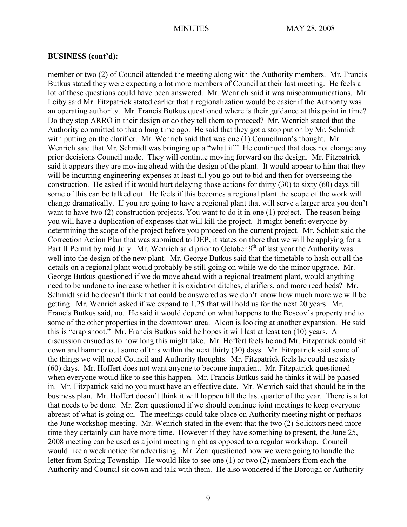member or two (2) of Council attended the meeting along with the Authority members. Mr. Francis Butkus stated they were expecting a lot more members of Council at their last meeting. He feels a lot of these questions could have been answered. Mr. Wenrich said it was miscommunications. Mr. Leiby said Mr. Fitzpatrick stated earlier that a regionalization would be easier if the Authority was an operating authority. Mr. Francis Butkus questioned where is their guidance at this point in time? Do they stop ARRO in their design or do they tell them to proceed? Mr. Wenrich stated that the Authority committed to that a long time ago. He said that they got a stop put on by Mr. Schmidt with putting on the clarifier. Mr. Wenrich said that was one (1) Councilman's thought. Mr. Wenrich said that Mr. Schmidt was bringing up a "what if." He continued that does not change any prior decisions Council made. They will continue moving forward on the design. Mr. Fitzpatrick said it appears they are moving ahead with the design of the plant. It would appear to him that they will be incurring engineering expenses at least till you go out to bid and then for overseeing the construction. He asked if it would hurt delaying those actions for thirty (30) to sixty (60) days till some of this can be talked out. He feels if this becomes a regional plant the scope of the work will change dramatically. If you are going to have a regional plant that will serve a larger area you don't want to have two (2) construction projects. You want to do it in one (1) project. The reason being you will have a duplication of expenses that will kill the project. It might benefit everyone by determining the scope of the project before you proceed on the current project. Mr. Schlott said the Correction Action Plan that was submitted to DEP, it states on there that we will be applying for a Part II Permit by mid July. Mr. Wenrich said prior to October  $9<sup>th</sup>$  of last year the Authority was well into the design of the new plant. Mr. George Butkus said that the timetable to hash out all the details on a regional plant would probably be still going on while we do the minor upgrade. Mr. George Butkus questioned if we do move ahead with a regional treatment plant, would anything need to be undone to increase whether it is oxidation ditches, clarifiers, and more reed beds? Mr. Schmidt said he doesn't think that could be answered as we don't know how much more we will be getting. Mr. Wenrich asked if we expand to 1.25 that will hold us for the next 20 years. Mr. Francis Butkus said, no. He said it would depend on what happens to the Boscov's property and to some of the other properties in the downtown area. Alcon is looking at another expansion. He said this is "crap shoot." Mr. Francis Butkus said he hopes it will last at least ten (10) years. A discussion ensued as to how long this might take. Mr. Hoffert feels he and Mr. Fitzpatrick could sit down and hammer out some of this within the next thirty (30) days. Mr. Fitzpatrick said some of the things we will need Council and Authority thoughts. Mr. Fitzpatrick feels he could use sixty (60) days. Mr. Hoffert does not want anyone to become impatient. Mr. Fitzpatrick questioned when everyone would like to see this happen. Mr. Francis Butkus said he thinks it will be phased in. Mr. Fitzpatrick said no you must have an effective date. Mr. Wenrich said that should be in the business plan. Mr. Hoffert doesn't think it will happen till the last quarter of the year. There is a lot that needs to be done. Mr. Zerr questioned if we should continue joint meetings to keep everyone abreast of what is going on. The meetings could take place on Authority meeting night or perhaps the June workshop meeting. Mr. Wenrich stated in the event that the two (2) Solicitors need more time they certainly can have more time. However if they have something to present, the June 25, 2008 meeting can be used as a joint meeting night as opposed to a regular workshop. Council would like a week notice for advertising. Mr. Zerr questioned how we were going to handle the letter from Spring Township. He would like to see one (1) or two (2) members from each the Authority and Council sit down and talk with them. He also wondered if the Borough or Authority